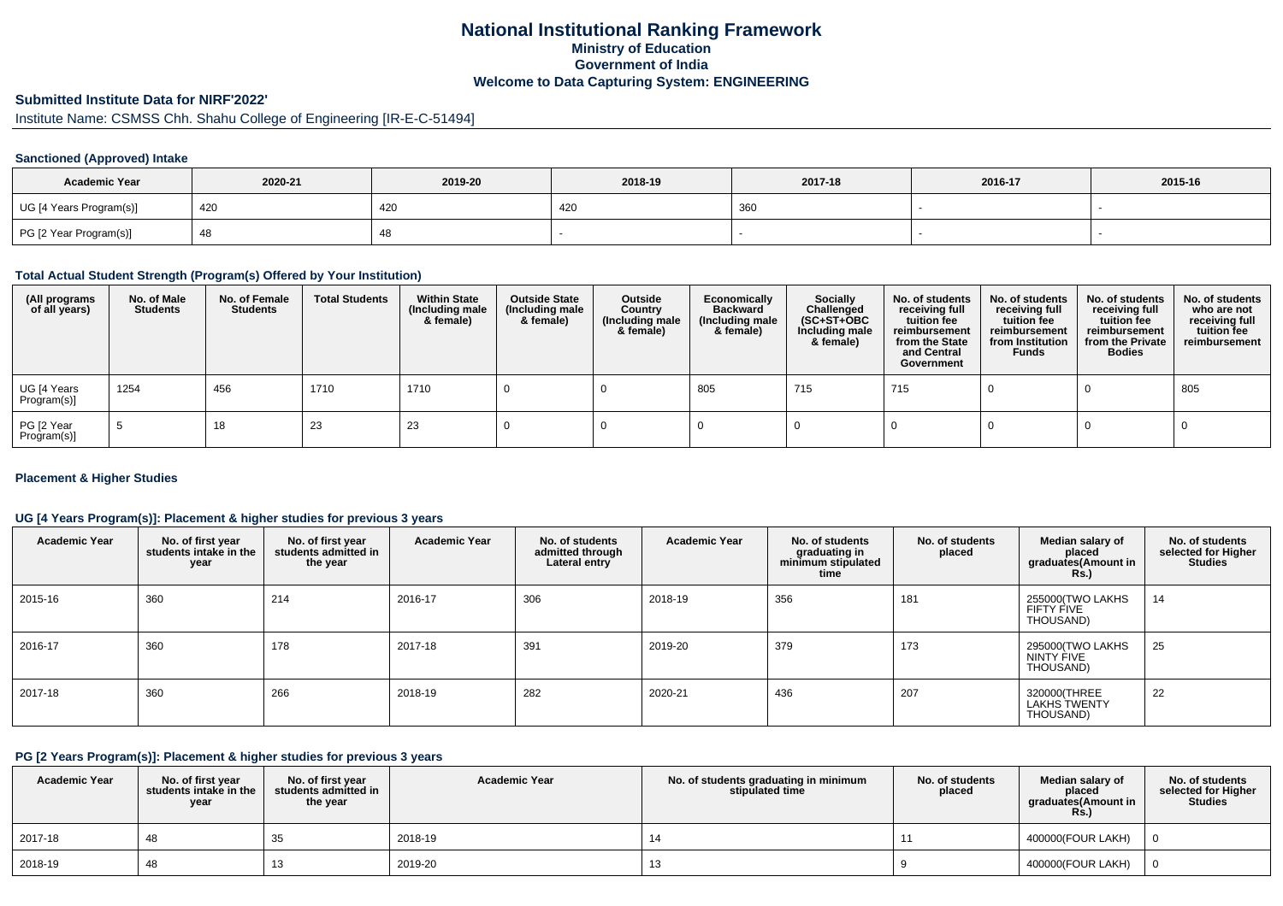## **National Institutional Ranking FrameworkMinistry of Education Government of IndiaWelcome to Data Capturing System: ENGINEERING**

# **Submitted Institute Data for NIRF'2022'**

# Institute Name: CSMSS Chh. Shahu College of Engineering [IR-E-C-51494]

#### **Sanctioned (Approved) Intake**

| <b>Academic Year</b>    | 2020-21 | 2019-20 | 2018-19 | 2017-18 | 2016-17 | 2015-16 |
|-------------------------|---------|---------|---------|---------|---------|---------|
| UG [4 Years Program(s)] | 420     | 420     | 420     | 360     |         |         |
| PG [2 Year Program(s)]  |         | 40      |         |         |         |         |

#### **Total Actual Student Strength (Program(s) Offered by Your Institution)**

| (All programs<br>of all years) | No. of Male<br><b>Students</b> | No. of Female<br><b>Students</b> | <b>Total Students</b> | <b>Within State</b><br>(Including male<br>& female) | <b>Outside State</b><br>(Including male<br>& female) | Outside<br>Country<br>(Including male<br>& female) | Economically<br><b>Backward</b><br>(Including male<br>& female) | Socially<br>Challenged<br>$(SC+ST+OBC)$<br>Including male<br>& female) | No. of students<br>receiving full<br>tuition fee<br>reimbursement<br>from the State<br>and Central<br>Government | No. of students<br>receiving full<br>tuition fee<br>reimbursement<br>from Institution<br><b>Funds</b> | No. of students<br>receiving full<br>tuition fee<br>reimbursement<br>from the Private<br><b>Bodies</b> | No. of students<br>who are not<br>receiving full<br>tuition fee<br>reimbursement |
|--------------------------------|--------------------------------|----------------------------------|-----------------------|-----------------------------------------------------|------------------------------------------------------|----------------------------------------------------|-----------------------------------------------------------------|------------------------------------------------------------------------|------------------------------------------------------------------------------------------------------------------|-------------------------------------------------------------------------------------------------------|--------------------------------------------------------------------------------------------------------|----------------------------------------------------------------------------------|
| UG [4 Years<br>Program(s)]     | 1254                           | 456                              | 1710                  | 1710                                                |                                                      |                                                    | 805                                                             | 715                                                                    | 715                                                                                                              |                                                                                                       |                                                                                                        | 805                                                                              |
| PG [2 Year<br>Program(s)]      |                                | 18                               | 23                    | 23                                                  |                                                      |                                                    |                                                                 |                                                                        |                                                                                                                  |                                                                                                       |                                                                                                        |                                                                                  |

#### **Placement & Higher Studies**

#### **UG [4 Years Program(s)]: Placement & higher studies for previous 3 years**

| <b>Academic Year</b> | No. of first year<br>students intake in the<br>year | No. of first year<br>students admitted in<br>the year | <b>Academic Year</b> | No. of students<br>admitted through<br>Lateral entry | <b>Academic Year</b> | No. of students<br>graduating in<br>minimum stipulated<br>time | No. of students<br>placed | Median salary of<br>placed<br>graduates(Amount in<br><b>Rs.</b> ) | No. of students<br>selected for Higher<br><b>Studies</b> |
|----------------------|-----------------------------------------------------|-------------------------------------------------------|----------------------|------------------------------------------------------|----------------------|----------------------------------------------------------------|---------------------------|-------------------------------------------------------------------|----------------------------------------------------------|
| 2015-16              | 360                                                 | 214                                                   | 2016-17              | 306                                                  | 2018-19              | 356                                                            | 181                       | 255000(TWO LAKHS<br>FIFTY FIVE<br>THOUSAND)                       | 14                                                       |
| 2016-17              | 360                                                 | 178                                                   | 2017-18              | 391                                                  | 2019-20              | 379                                                            | 173                       | 295000(TWO LAKHS<br>NINTY FIVE<br>THOUSAND)                       | 25                                                       |
| 2017-18              | 360                                                 | 266                                                   | 2018-19              | 282                                                  | 2020-21              | 436                                                            | 207                       | 320000(THREE<br>LAKHS TWENTY<br>THOUSAND)                         | 22                                                       |

#### **PG [2 Years Program(s)]: Placement & higher studies for previous 3 years**

| <b>Academic Year</b> | No. of first vear<br>students intake in the<br>year | No. of first year<br>students admitted in<br>the year | <b>Academic Year</b> | No. of students graduating in minimum<br>stipulated time | No. of students<br>placed | Median salary of<br>placed<br>graduates(Amount in<br><b>Rs.)</b> | No. of students<br>selected for Higher<br><b>Studies</b> |
|----------------------|-----------------------------------------------------|-------------------------------------------------------|----------------------|----------------------------------------------------------|---------------------------|------------------------------------------------------------------|----------------------------------------------------------|
| 2017-18              | 4٤                                                  | აა                                                    | 2018-19              |                                                          |                           | 400000(FOUR LAKH)                                                |                                                          |
| 2018-19              | -48                                                 | 13                                                    | 2019-20              | 13                                                       |                           | 400000(FOUR LAKH)                                                |                                                          |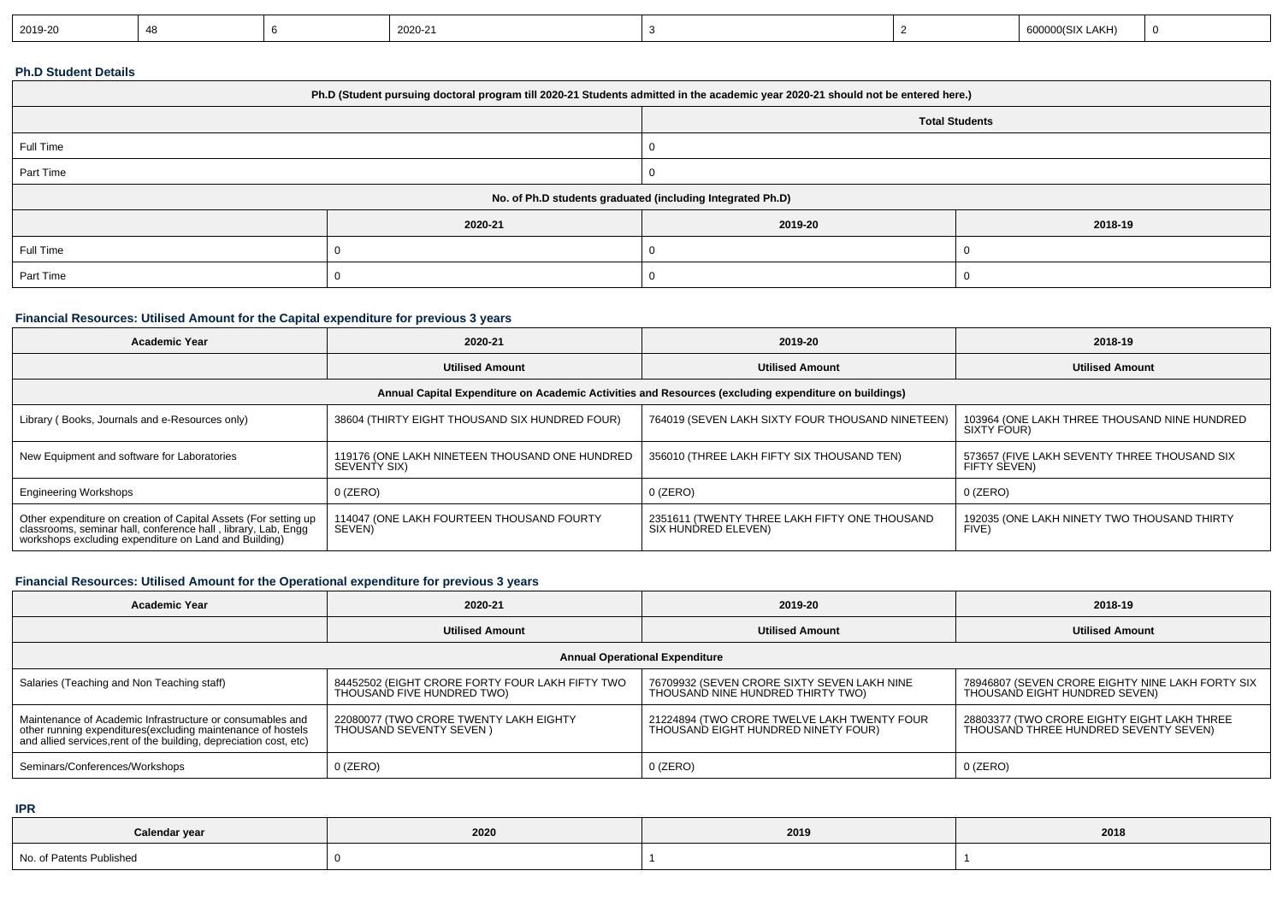| 2019-20<br>600000(SIX LAKH)<br>2020-21 |  |  |  |  |  |  |  |  |  |
|----------------------------------------|--|--|--|--|--|--|--|--|--|
|----------------------------------------|--|--|--|--|--|--|--|--|--|

## **Ph.D Student Details**

|           |                                                            | Ph.D (Student pursuing doctoral program till 2020-21 Students admitted in the academic year 2020-21 should not be entered here.) |                       |  |  |  |  |  |  |  |
|-----------|------------------------------------------------------------|----------------------------------------------------------------------------------------------------------------------------------|-----------------------|--|--|--|--|--|--|--|
|           |                                                            |                                                                                                                                  | <b>Total Students</b> |  |  |  |  |  |  |  |
| Full Time |                                                            |                                                                                                                                  |                       |  |  |  |  |  |  |  |
| Part Time |                                                            |                                                                                                                                  |                       |  |  |  |  |  |  |  |
|           | No. of Ph.D students graduated (including Integrated Ph.D) |                                                                                                                                  |                       |  |  |  |  |  |  |  |
|           | 2020-21                                                    | 2019-20                                                                                                                          | 2018-19               |  |  |  |  |  |  |  |
| Full Time |                                                            |                                                                                                                                  |                       |  |  |  |  |  |  |  |
| Part Time |                                                            |                                                                                                                                  |                       |  |  |  |  |  |  |  |

## **Financial Resources: Utilised Amount for the Capital expenditure for previous 3 years**

| <b>Academic Year</b>                                                                                                                                                                       | 2020-21                                                        | 2019-20                                                                                              | 2018-19                                                      |
|--------------------------------------------------------------------------------------------------------------------------------------------------------------------------------------------|----------------------------------------------------------------|------------------------------------------------------------------------------------------------------|--------------------------------------------------------------|
|                                                                                                                                                                                            | <b>Utilised Amount</b>                                         | <b>Utilised Amount</b>                                                                               | <b>Utilised Amount</b>                                       |
|                                                                                                                                                                                            |                                                                | Annual Capital Expenditure on Academic Activities and Resources (excluding expenditure on buildings) |                                                              |
| Library (Books, Journals and e-Resources only)                                                                                                                                             | 38604 (THIRTY EIGHT THOUSAND SIX HUNDRED FOUR)                 | 764019 (SEVEN LAKH SIXTY FOUR THOUSAND NINETEEN)                                                     | 103964 (ONE LAKH THREE THOUSAND NINE HUNDRED<br>SIXTY FOUR)  |
| New Equipment and software for Laboratories                                                                                                                                                | 119176 (ONE LAKH NINETEEN THOUSAND ONE HUNDRED<br>SEVENTY SIX) | 356010 (THREE LAKH FIFTY SIX THOUSAND TEN)                                                           | 573657 (FIVE LAKH SEVENTY THREE THOUSAND SIX<br>FIFTY SEVEN) |
| <b>Engineering Workshops</b>                                                                                                                                                               | $0$ (ZERO)                                                     | $0$ (ZERO)                                                                                           | $0$ (ZERO)                                                   |
| Other expenditure on creation of Capital Assets (For setting up<br>classrooms, seminar hall, conference hall , library, Lab, Engg<br>workshops excluding expenditure on Land and Building) | 114047 (ONE LAKH FOURTEEN THOUSAND FOURTY<br>SEVEN)            | 2351611 (TWENTY THREE LAKH FIFTY ONE THOUSAND<br>SIX HUNDRED ELEVEN)                                 | 192035 (ONE LAKH NINETY TWO THOUSAND THIRTY<br>FIVE)         |

## **Financial Resources: Utilised Amount for the Operational expenditure for previous 3 years**

| <b>Academic Year</b>                                                                                                                                                                            | 2020-21                                                                       | 2019-20                                                                            | 2018-19                                                                              |
|-------------------------------------------------------------------------------------------------------------------------------------------------------------------------------------------------|-------------------------------------------------------------------------------|------------------------------------------------------------------------------------|--------------------------------------------------------------------------------------|
|                                                                                                                                                                                                 | <b>Utilised Amount</b>                                                        | <b>Utilised Amount</b>                                                             | <b>Utilised Amount</b>                                                               |
|                                                                                                                                                                                                 |                                                                               | <b>Annual Operational Expenditure</b>                                              |                                                                                      |
| Salaries (Teaching and Non Teaching staff)                                                                                                                                                      | 84452502 (EIGHT CRORE FORTY FOUR LAKH FIFTY TWO<br>THOUSAND FIVE HUNDRED TWO) | 76709932 (SEVEN CRORE SIXTY SEVEN LAKH NINE<br>THOUSAND NINE HUNDRED THIRTY TWO)   | 78946807 (SEVEN CRORE EIGHTY NINE LAKH FORTY SIX<br>THOUSAND EIGHT HUNDRED SEVEN)    |
| Maintenance of Academic Infrastructure or consumables and<br>other running expenditures (excluding maintenance of hostels<br>and allied services, rent of the building, depreciation cost, etc) | 22080077 (TWO CRORE TWENTY LAKH EIGHTY<br>THOUSAND SEVENTY SEVEN )            | 21224894 (TWO CRORE TWELVE LAKH TWENTY FOUR<br>THOUSAND EIGHT HUNDRED NINETY FOUR) | 28803377 (TWO CRORE EIGHTY EIGHT LAKH THREE<br>THOUSAND THREE HUNDRED SEVENTY SEVEN) |
| Seminars/Conferences/Workshops                                                                                                                                                                  | $0$ (ZERO)                                                                    | $0$ (ZERO)                                                                         | $0$ (ZERO)                                                                           |

**IPR**

| Calendar year            | 2020 | 2019 | 2018 |
|--------------------------|------|------|------|
| No. of Patents Published |      |      |      |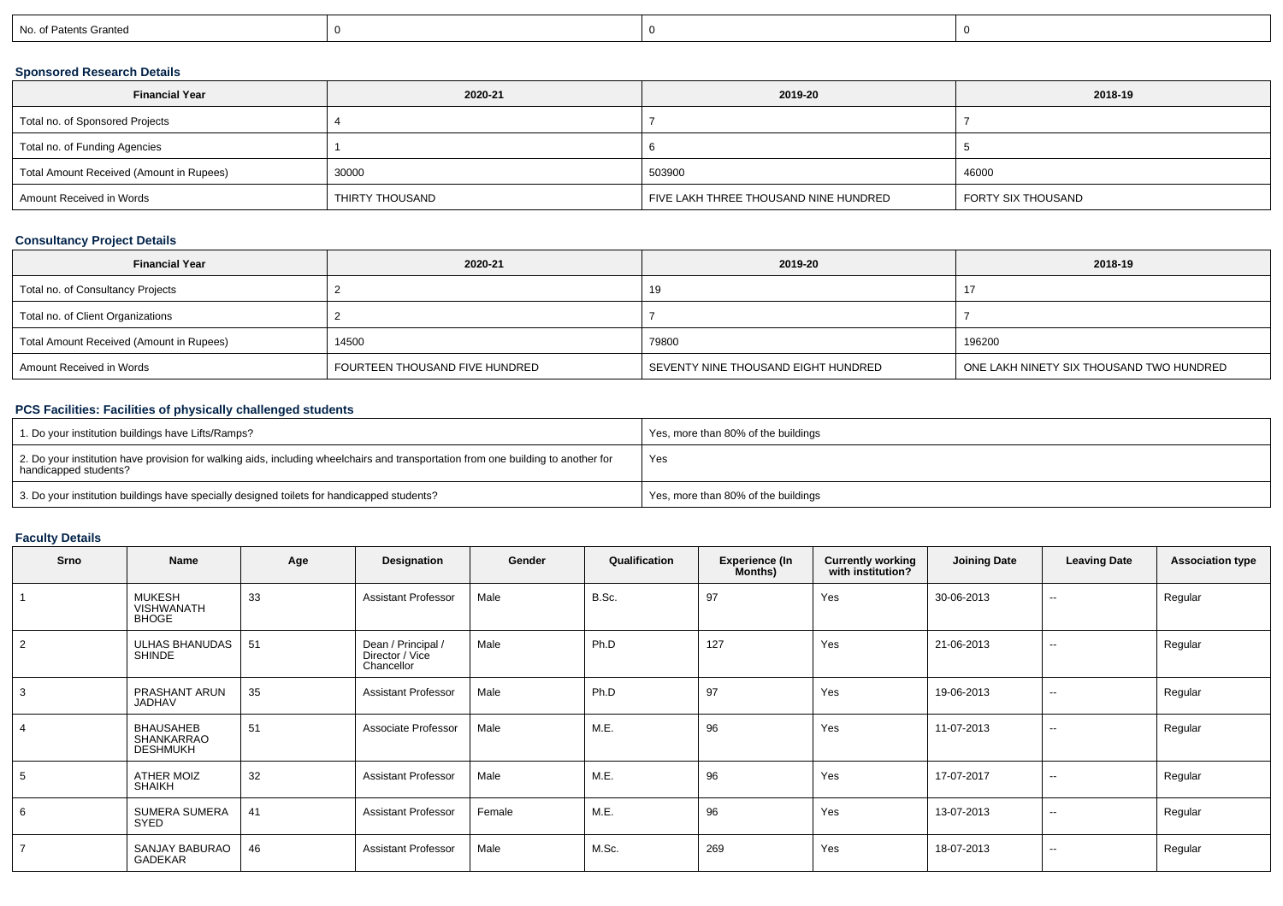| No. of Patents Granted |
|------------------------|
|------------------------|

## **Sponsored Research Details**

| <b>Financial Year</b>                    | 2020-21         | 2019-20                               | 2018-19            |
|------------------------------------------|-----------------|---------------------------------------|--------------------|
| Total no. of Sponsored Projects          |                 |                                       |                    |
| Total no. of Funding Agencies            |                 |                                       |                    |
| Total Amount Received (Amount in Rupees) | 30000           | 503900                                | 46000              |
| Amount Received in Words                 | THIRTY THOUSAND | FIVE LAKH THREE THOUSAND NINE HUNDRED | FORTY SIX THOUSAND |

## **Consultancy Project Details**

| <b>Financial Year</b>                    | 2020-21                        | 2019-20                             | 2018-19                                  |
|------------------------------------------|--------------------------------|-------------------------------------|------------------------------------------|
| Total no. of Consultancy Projects        |                                | 19                                  | 17                                       |
| Total no. of Client Organizations        |                                |                                     |                                          |
| Total Amount Received (Amount in Rupees) | 14500                          | 79800                               | 196200                                   |
| Amount Received in Words                 | FOURTEEN THOUSAND FIVE HUNDRED | SEVENTY NINE THOUSAND EIGHT HUNDRED | ONE LAKH NINETY SIX THOUSAND TWO HUNDRED |

## **PCS Facilities: Facilities of physically challenged students**

| <sup>1</sup> 1. Do your institution buildings have Lifts/Ramps?                                                                                            | Yes, more than 80% of the buildings |
|------------------------------------------------------------------------------------------------------------------------------------------------------------|-------------------------------------|
| 2. Do your institution have provision for walking aids, including wheelchairs and transportation from one building to another for<br>handicapped students? | Yes                                 |
| 3. Do your institution buildings have specially designed toilets for handicapped students?                                                                 | Yes, more than 80% of the buildings |

# **Faculty Details**

| Srno           | Name                                              | Age | Designation                                         | Gender | Qualification | <b>Experience (In</b><br>Months) | <b>Currently working</b><br>with institution? | <b>Joining Date</b> | <b>Leaving Date</b>      | <b>Association type</b> |
|----------------|---------------------------------------------------|-----|-----------------------------------------------------|--------|---------------|----------------------------------|-----------------------------------------------|---------------------|--------------------------|-------------------------|
|                | <b>MUKESH</b><br>VISHWANATH<br><b>BHOGE</b>       | 33  | <b>Assistant Professor</b>                          | Male   | B.Sc.         | 97                               | Yes                                           | 30-06-2013          | $\sim$                   | Regular                 |
| 2              | ULHAS BHANUDAS<br>SHINDE                          | 51  | Dean / Principal /<br>Director / Vice<br>Chancellor | Male   | Ph.D          | 127                              | Yes                                           | 21-06-2013          | $\overline{\phantom{a}}$ | Regular                 |
| 3              | PRASHANT ARUN<br>JADHAV                           | 35  | <b>Assistant Professor</b>                          | Male   | Ph.D          | 97                               | Yes                                           | 19-06-2013          | $- -$                    | Regular                 |
| $\overline{4}$ | <b>BHAUSAHEB</b><br>SHANKARRAO<br><b>DESHMUKH</b> | 51  | Associate Professor                                 | Male   | M.E.          | 96                               | Yes                                           | 11-07-2013          | $\sim$                   | Regular                 |
| 5              | ATHER MOIZ<br>SHAIKH                              | 32  | <b>Assistant Professor</b>                          | Male   | M.E.          | 96                               | Yes                                           | 17-07-2017          | $\sim$                   | Regular                 |
| 6              | <b>SUMERA SUMERA</b><br>SYED                      | 41  | <b>Assistant Professor</b>                          | Female | M.E.          | 96                               | Yes                                           | 13-07-2013          | $\sim$                   | Regular                 |
| $\overline{7}$ | SANJAY BABURAO<br>GADEKAR                         | 46  | <b>Assistant Professor</b>                          | Male   | M.Sc.         | 269                              | Yes                                           | 18-07-2013          | $\overline{\phantom{a}}$ | Regular                 |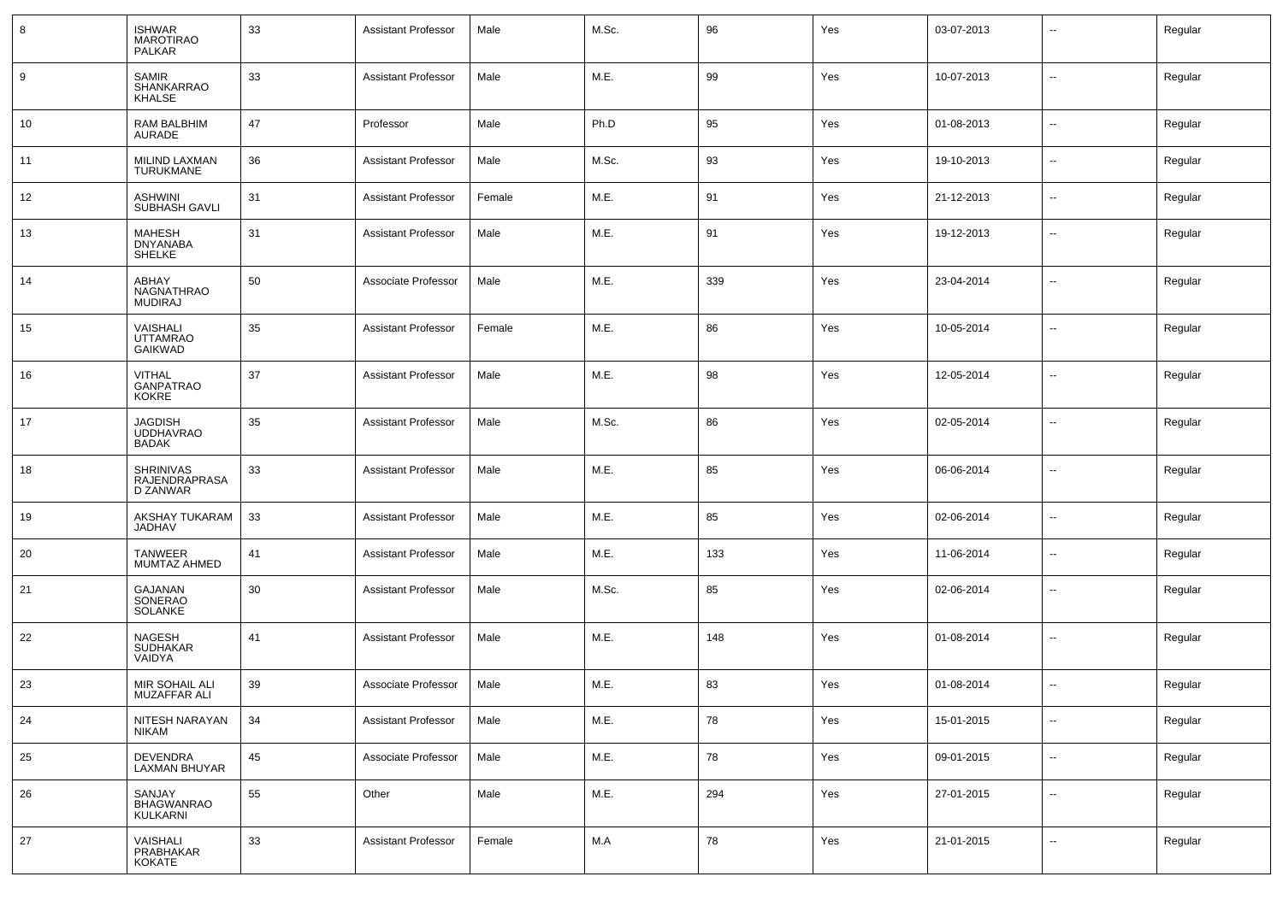| 8  | <b>ISHWAR</b><br><b>MAROTIRAO</b><br><b>PALKAR</b> | 33 | <b>Assistant Professor</b> | Male   | M.Sc. | 96  | Yes | 03-07-2013 | $\sim$                   | Regular |
|----|----------------------------------------------------|----|----------------------------|--------|-------|-----|-----|------------|--------------------------|---------|
| 9  | <b>SAMIR</b><br>SHANKARRAO<br><b>KHALSE</b>        | 33 | <b>Assistant Professor</b> | Male   | M.E.  | 99  | Yes | 10-07-2013 | $\sim$                   | Regular |
| 10 | RAM BALBHIM<br>AURADE                              | 47 | Professor                  | Male   | Ph.D  | 95  | Yes | 01-08-2013 | $\sim$                   | Regular |
| 11 | MILIND LAXMAN<br><b>TURUKMANE</b>                  | 36 | <b>Assistant Professor</b> | Male   | M.Sc. | 93  | Yes | 19-10-2013 | $\overline{\phantom{a}}$ | Regular |
| 12 | <b>ASHWINI</b><br>SUBHASH GAVLI                    | 31 | <b>Assistant Professor</b> | Female | M.E.  | 91  | Yes | 21-12-2013 | $\sim$                   | Regular |
| 13 | <b>MAHESH</b><br><b>DNYANABA</b><br><b>SHELKE</b>  | 31 | <b>Assistant Professor</b> | Male   | M.E.  | 91  | Yes | 19-12-2013 | $\sim$                   | Regular |
| 14 | ABHAY<br><b>NAGNATHRAO</b><br><b>MUDIRAJ</b>       | 50 | Associate Professor        | Male   | M.E.  | 339 | Yes | 23-04-2014 | --                       | Regular |
| 15 | VAISHALI<br><b>UTTAMRAO</b><br><b>GAIKWAD</b>      | 35 | <b>Assistant Professor</b> | Female | M.E.  | 86  | Yes | 10-05-2014 | $\overline{\phantom{a}}$ | Regular |
| 16 | <b>VITHAL</b><br><b>GANPATRAO</b><br><b>KOKRE</b>  | 37 | <b>Assistant Professor</b> | Male   | M.E.  | 98  | Yes | 12-05-2014 | $\overline{\phantom{a}}$ | Regular |
| 17 | <b>JAGDISH</b><br><b>UDDHAVRAO</b><br><b>BADAK</b> | 35 | <b>Assistant Professor</b> | Male   | M.Sc. | 86  | Yes | 02-05-2014 | $\overline{\phantom{a}}$ | Regular |
| 18 | <b>SHRINIVAS</b><br>RAJENDRAPRASA<br>D ZANWAR      | 33 | <b>Assistant Professor</b> | Male   | M.E.  | 85  | Yes | 06-06-2014 | $\sim$                   | Regular |
| 19 | AKSHAY TUKARAM<br><b>JADHAV</b>                    | 33 | <b>Assistant Professor</b> | Male   | M.E.  | 85  | Yes | 02-06-2014 | $\overline{\phantom{a}}$ | Regular |
| 20 | <b>TANWEER</b><br>MUMTAZ AHMED                     | 41 | <b>Assistant Professor</b> | Male   | M.E.  | 133 | Yes | 11-06-2014 | $\sim$                   | Regular |
| 21 | GAJANAN<br>SONERAO<br><b>SOLANKE</b>               | 30 | <b>Assistant Professor</b> | Male   | M.Sc. | 85  | Yes | 02-06-2014 | $\sim$                   | Regular |
| 22 | <b>NAGESH</b><br><b>SUDHAKAR</b><br>VAIDYA         | 41 | <b>Assistant Professor</b> | Male   | M.E.  | 148 | Yes | 01-08-2014 | --                       | Regular |
| 23 | MIR SOHAIL ALI<br>MUZAFFAR ALI                     | 39 | Associate Professor        | Male   | M.E.  | 83  | Yes | 01-08-2014 | --                       | Regular |
| 24 | NITESH NARAYAN<br><b>NIKAM</b>                     | 34 | <b>Assistant Professor</b> | Male   | M.E.  | 78  | Yes | 15-01-2015 | $\overline{\phantom{a}}$ | Regular |
| 25 | <b>DEVENDRA</b><br>LAXMAN BHUYAR                   | 45 | Associate Professor        | Male   | M.E.  | 78  | Yes | 09-01-2015 | Ξ.                       | Regular |
| 26 | SANJAY<br>BHAGWANRAO<br><b>KULKARNI</b>            | 55 | Other                      | Male   | M.E.  | 294 | Yes | 27-01-2015 | $\overline{\phantom{a}}$ | Regular |
| 27 | VAISHALI<br>PRABHAKAR<br>KOKATE                    | 33 | <b>Assistant Professor</b> | Female | M.A   | 78  | Yes | 21-01-2015 | $\sim$                   | Regular |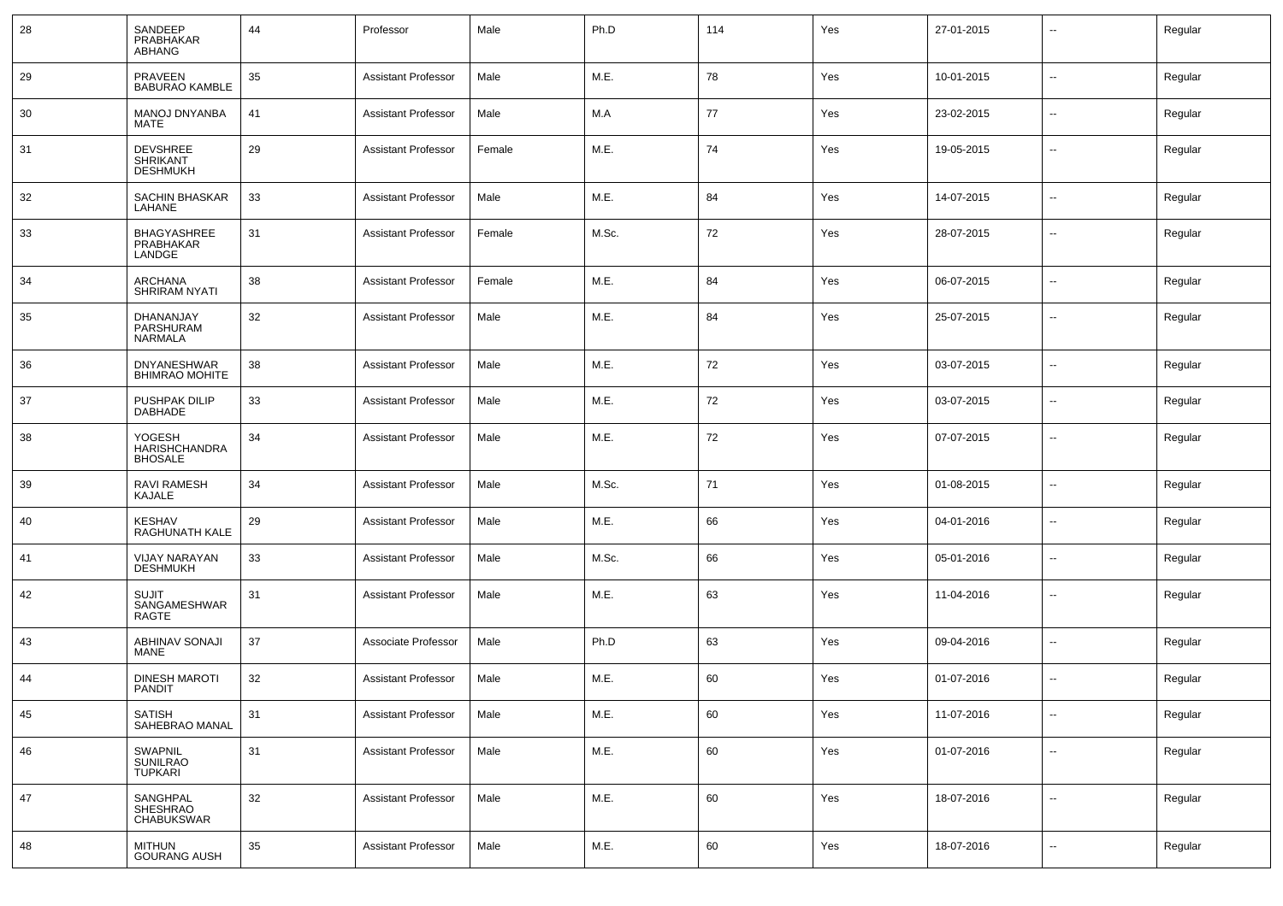| 28 | SANDEEP<br>PRABHAKAR<br><b>ABHANG</b>                 | 44 | Professor                  | Male   | Ph.D  | 114 | Yes | 27-01-2015 | --                       | Regular |
|----|-------------------------------------------------------|----|----------------------------|--------|-------|-----|-----|------------|--------------------------|---------|
| 29 | PRAVEEN<br><b>BABURAO KAMBLE</b>                      | 35 | <b>Assistant Professor</b> | Male   | M.E.  | 78  | Yes | 10-01-2015 | Ξ.                       | Regular |
| 30 | MANOJ DNYANBA<br>MATE                                 | 41 | <b>Assistant Professor</b> | Male   | M.A   | 77  | Yes | 23-02-2015 | $\sim$                   | Regular |
| 31 | <b>DEVSHREE</b><br><b>SHRIKANT</b><br><b>DESHMUKH</b> | 29 | <b>Assistant Professor</b> | Female | M.E.  | 74  | Yes | 19-05-2015 | Ξ.                       | Regular |
| 32 | SACHIN BHASKAR<br>LAHANE                              | 33 | <b>Assistant Professor</b> | Male   | M.E.  | 84  | Yes | 14-07-2015 | --                       | Regular |
| 33 | BHAGYASHREE<br>PRABHAKAR<br>LANDGE                    | 31 | <b>Assistant Professor</b> | Female | M.Sc. | 72  | Yes | 28-07-2015 | --                       | Regular |
| 34 | ARCHANA<br><b>SHRIRAM NYATI</b>                       | 38 | <b>Assistant Professor</b> | Female | M.E.  | 84  | Yes | 06-07-2015 | ۰.                       | Regular |
| 35 | DHANANJAY<br>PARSHURAM<br>NARMALA                     | 32 | <b>Assistant Professor</b> | Male   | M.E.  | 84  | Yes | 25-07-2015 | ۰.                       | Regular |
| 36 | <b>DNYANESHWAR</b><br><b>BHIMRAO MOHITE</b>           | 38 | <b>Assistant Professor</b> | Male   | M.E.  | 72  | Yes | 03-07-2015 | --                       | Regular |
| 37 | PUSHPAK DILIP<br><b>DABHADE</b>                       | 33 | <b>Assistant Professor</b> | Male   | M.E.  | 72  | Yes | 03-07-2015 | --                       | Regular |
| 38 | YOGESH<br><b>HARISHCHANDRA</b><br><b>BHOSALE</b>      | 34 | <b>Assistant Professor</b> | Male   | M.E.  | 72  | Yes | 07-07-2015 | --                       | Regular |
| 39 | RAVI RAMESH<br>KAJALE                                 | 34 | <b>Assistant Professor</b> | Male   | M.Sc. | 71  | Yes | 01-08-2015 | --                       | Regular |
| 40 | <b>KESHAV</b><br>RAGHUNATH KALE                       | 29 | <b>Assistant Professor</b> | Male   | M.E.  | 66  | Yes | 04-01-2016 | --                       | Regular |
| 41 | <b>VIJAY NARAYAN</b><br><b>DESHMUKH</b>               | 33 | <b>Assistant Professor</b> | Male   | M.Sc. | 66  | Yes | 05-01-2016 | --                       | Regular |
| 42 | <b>SUJIT</b><br>SANGAMESHWAR<br>RAGTE                 | 31 | <b>Assistant Professor</b> | Male   | M.E.  | 63  | Yes | 11-04-2016 | --                       | Regular |
| 43 | ABHINAV SONAJI<br>MANE                                | 37 | Associate Professor        | Male   | Ph.D  | 63  | Yes | 09-04-2016 | $\sim$                   | Regular |
| 44 | <b>DINESH MAROTI</b><br><b>PANDIT</b>                 | 32 | <b>Assistant Professor</b> | Male   | M.E.  | 60  | Yes | 01-07-2016 | $\overline{\phantom{a}}$ | Regular |
| 45 | <b>SATISH</b><br>SAHEBRAO MANAL                       | 31 | <b>Assistant Professor</b> | Male   | M.E.  | 60  | Yes | 11-07-2016 | $\sim$                   | Regular |
| 46 | SWAPNIL<br>SUNILRAO<br>TUPKARI                        | 31 | <b>Assistant Professor</b> | Male   | M.E.  | 60  | Yes | 01-07-2016 | $\sim$                   | Regular |
| 47 | SANGHPAL<br>SHESHRAO<br>CHABUKSWAR                    | 32 | <b>Assistant Professor</b> | Male   | M.E.  | 60  | Yes | 18-07-2016 | $\sim$                   | Regular |
| 48 | <b>MITHUN</b><br><b>GOURANG AUSH</b>                  | 35 | <b>Assistant Professor</b> | Male   | M.E.  | 60  | Yes | 18-07-2016 | --                       | Regular |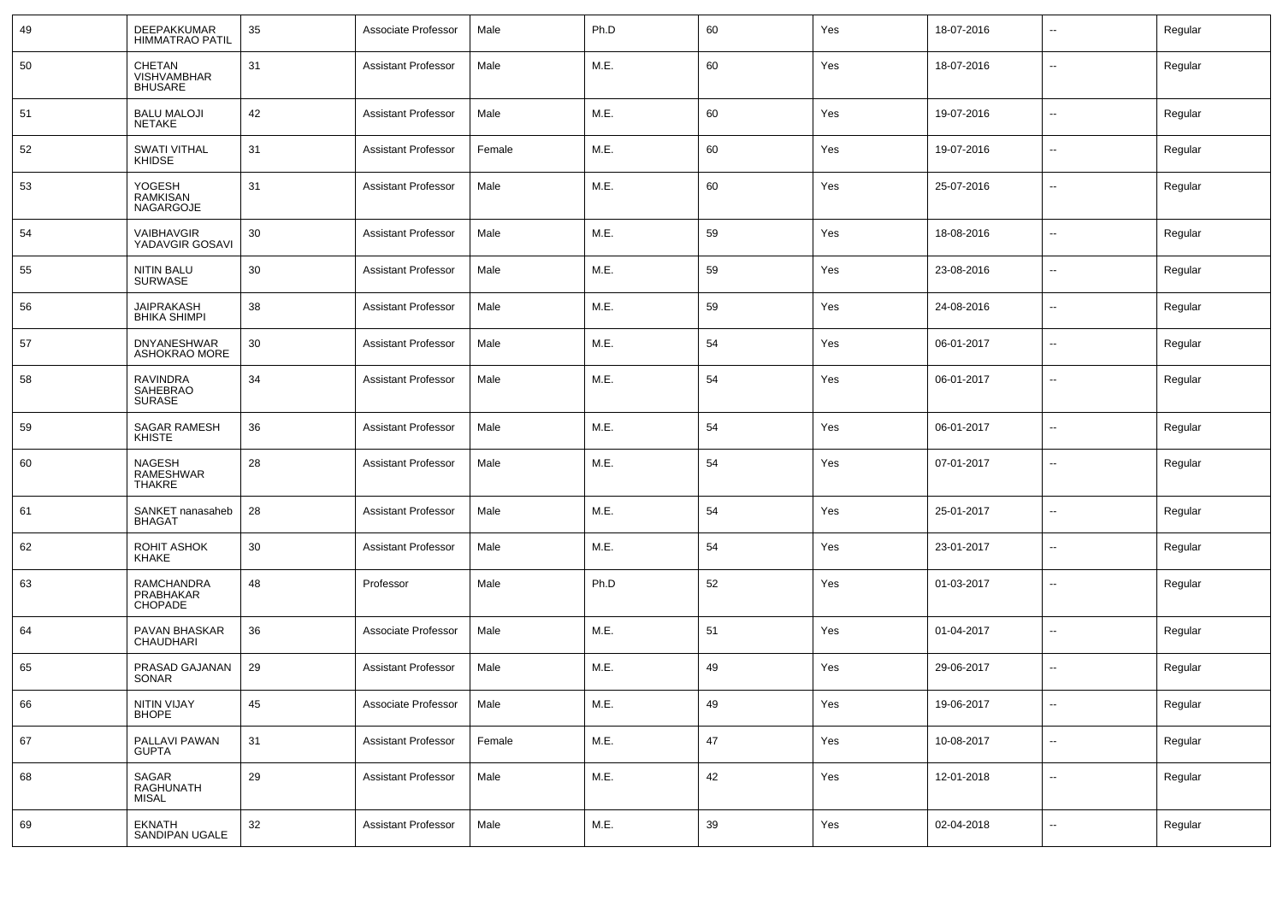| 49 | DEEPAKKUMAR<br><b>HIMMATRAO PATIL</b>          | 35     | Associate Professor        | Male   | Ph.D | 60 | Yes | 18-07-2016 |                          | Regular |
|----|------------------------------------------------|--------|----------------------------|--------|------|----|-----|------------|--------------------------|---------|
| 50 | CHETAN<br><b>VISHVAMBHAR</b><br><b>BHUSARE</b> | 31     | <b>Assistant Professor</b> | Male   | M.E. | 60 | Yes | 18-07-2016 | --                       | Regular |
| 51 | <b>BALU MALOJI</b><br>NETAKE                   | 42     | <b>Assistant Professor</b> | Male   | M.E. | 60 | Yes | 19-07-2016 | Ξ.                       | Regular |
| 52 | <b>SWATI VITHAL</b><br>KHIDSE                  | 31     | <b>Assistant Professor</b> | Female | M.E. | 60 | Yes | 19-07-2016 | $\sim$                   | Regular |
| 53 | YOGESH<br><b>RAMKISAN</b><br><b>NAGARGOJE</b>  | 31     | <b>Assistant Professor</b> | Male   | M.E. | 60 | Yes | 25-07-2016 | Ξ.                       | Regular |
| 54 | VAIBHAVGIR<br>YADAVGIR GOSAVI                  | 30     | <b>Assistant Professor</b> | Male   | M.E. | 59 | Yes | 18-08-2016 | $\sim$                   | Regular |
| 55 | <b>NITIN BALU</b><br><b>SURWASE</b>            | 30     | <b>Assistant Professor</b> | Male   | M.E. | 59 | Yes | 23-08-2016 | $\sim$                   | Regular |
| 56 | <b>JAIPRAKASH</b><br><b>BHIKA SHIMPI</b>       | 38     | <b>Assistant Professor</b> | Male   | M.E. | 59 | Yes | 24-08-2016 | $\sim$                   | Regular |
| 57 | <b>DNYANESHWAR</b><br>ASHOKRAO MORE            | 30     | <b>Assistant Professor</b> | Male   | M.E. | 54 | Yes | 06-01-2017 | $\sim$                   | Regular |
| 58 | <b>RAVINDRA</b><br>SAHEBRAO<br><b>SURASE</b>   | 34     | <b>Assistant Professor</b> | Male   | M.E. | 54 | Yes | 06-01-2017 | $\sim$                   | Regular |
| 59 | SAGAR RAMESH<br><b>KHISTE</b>                  | 36     | <b>Assistant Professor</b> | Male   | M.E. | 54 | Yes | 06-01-2017 | --                       | Regular |
| 60 | <b>NAGESH</b><br>RAMESHWAR<br><b>THAKRE</b>    | 28     | <b>Assistant Professor</b> | Male   | M.E. | 54 | Yes | 07-01-2017 | --                       | Regular |
| 61 | SANKET nanasaheb<br><b>BHAGAT</b>              | 28     | <b>Assistant Professor</b> | Male   | M.E. | 54 | Yes | 25-01-2017 | --                       | Regular |
| 62 | ROHIT ASHOK<br><b>KHAKE</b>                    | 30     | <b>Assistant Professor</b> | Male   | M.E. | 54 | Yes | 23-01-2017 | --                       | Regular |
| 63 | RAMCHANDRA<br>PRABHAKAR<br>CHOPADE             | 48     | Professor                  | Male   | Ph.D | 52 | Yes | 01-03-2017 | --                       | Regular |
| 64 | PAVAN BHASKAR<br><b>CHAUDHARI</b>              | 36     | Associate Professor        | Male   | M.E. | 51 | Yes | 01-04-2017 | --                       | Regular |
| 65 | PRASAD GAJANAN<br>SONAR                        | 29     | <b>Assistant Professor</b> | Male   | M.E. | 49 | Yes | 29-06-2017 | $\sim$                   | Regular |
| 66 | NITIN VIJAY<br><b>BHOPE</b>                    | 45     | Associate Professor        | Male   | M.E. | 49 | Yes | 19-06-2017 | $\overline{\phantom{a}}$ | Regular |
| 67 | PALLAVI PAWAN<br><b>GUPTA</b>                  | 31     | <b>Assistant Professor</b> | Female | M.E. | 47 | Yes | 10-08-2017 | $\sim$                   | Regular |
| 68 | SAGAR<br>RAGHUNATH<br><b>MISAL</b>             | 29     | <b>Assistant Professor</b> | Male   | M.E. | 42 | Yes | 12-01-2018 | $\overline{\phantom{a}}$ | Regular |
| 69 | <b>EKNATH</b><br>SANDIPAN UGALE                | $32\,$ | <b>Assistant Professor</b> | Male   | M.E. | 39 | Yes | 02-04-2018 | --                       | Regular |